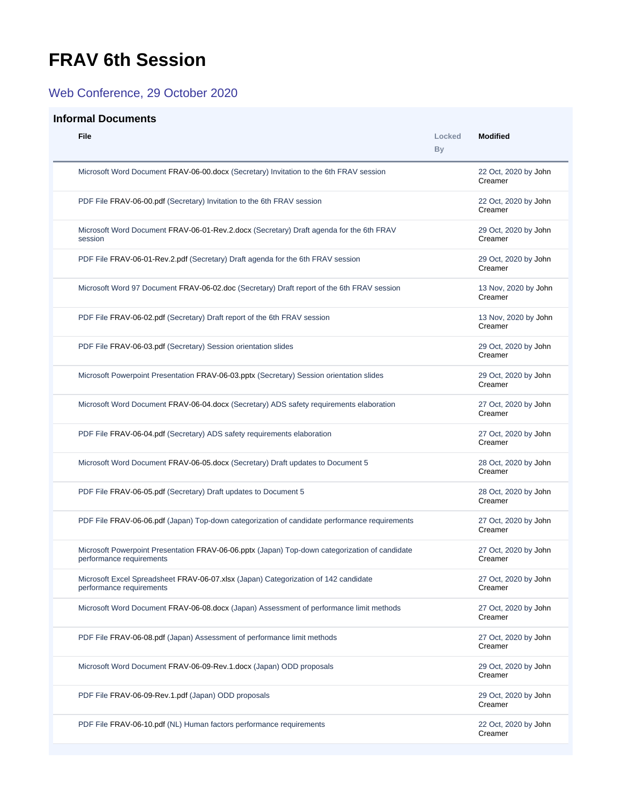## <span id="page-0-0"></span>**FRAV 6th Session**

## Web Conference, 29 October 2020

## **Informal Documents**

| File                                                                                                                       | Locked<br><b>By</b> | <b>Modified</b>                 |
|----------------------------------------------------------------------------------------------------------------------------|---------------------|---------------------------------|
| Microsoft Word Document FRAV-06-00.docx (Secretary) Invitation to the 6th FRAV session                                     |                     | 22 Oct, 2020 by John<br>Creamer |
| PDF File FRAV-06-00.pdf (Secretary) Invitation to the 6th FRAV session                                                     |                     | 22 Oct, 2020 by John<br>Creamer |
| Microsoft Word Document FRAV-06-01-Rev.2.docx (Secretary) Draft agenda for the 6th FRAV<br>session                         |                     | 29 Oct, 2020 by John<br>Creamer |
| PDF File FRAV-06-01-Rev.2.pdf (Secretary) Draft agenda for the 6th FRAV session                                            |                     | 29 Oct, 2020 by John<br>Creamer |
| Microsoft Word 97 Document FRAV-06-02.doc (Secretary) Draft report of the 6th FRAV session                                 |                     | 13 Nov, 2020 by John<br>Creamer |
| PDF File FRAV-06-02.pdf (Secretary) Draft report of the 6th FRAV session                                                   |                     | 13 Nov, 2020 by John<br>Creamer |
| PDF File FRAV-06-03.pdf (Secretary) Session orientation slides                                                             |                     | 29 Oct, 2020 by John<br>Creamer |
| Microsoft Powerpoint Presentation FRAV-06-03.pptx (Secretary) Session orientation slides                                   |                     | 29 Oct, 2020 by John<br>Creamer |
| Microsoft Word Document FRAV-06-04.docx (Secretary) ADS safety requirements elaboration                                    |                     | 27 Oct, 2020 by John<br>Creamer |
| PDF File FRAV-06-04.pdf (Secretary) ADS safety requirements elaboration                                                    |                     | 27 Oct, 2020 by John<br>Creamer |
| Microsoft Word Document FRAV-06-05.docx (Secretary) Draft updates to Document 5                                            |                     | 28 Oct, 2020 by John<br>Creamer |
| PDF File FRAV-06-05.pdf (Secretary) Draft updates to Document 5                                                            |                     | 28 Oct, 2020 by John<br>Creamer |
| PDF File FRAV-06-06.pdf (Japan) Top-down categorization of candidate performance requirements                              |                     | 27 Oct, 2020 by John<br>Creamer |
| Microsoft Powerpoint Presentation FRAV-06-06.pptx (Japan) Top-down categorization of candidate<br>performance requirements |                     | 27 Oct, 2020 by John<br>Creamer |
| Microsoft Excel Spreadsheet FRAV-06-07.xlsx (Japan) Categorization of 142 candidate<br>performance requirements            |                     | 27 Oct, 2020 by John<br>Creamer |
| Microsoft Word Document FRAV-06-08.docx (Japan) Assessment of performance limit methods                                    |                     | 27 Oct, 2020 by John<br>Creamer |
| PDF File FRAV-06-08.pdf (Japan) Assessment of performance limit methods                                                    |                     | 27 Oct, 2020 by John<br>Creamer |
| Microsoft Word Document FRAV-06-09-Rev.1.docx (Japan) ODD proposals                                                        |                     | 29 Oct, 2020 by John<br>Creamer |
| PDF File FRAV-06-09-Rev.1.pdf (Japan) ODD proposals                                                                        |                     | 29 Oct, 2020 by John<br>Creamer |
| PDF File FRAV-06-10.pdf (NL) Human factors performance requirements                                                        |                     | 22 Oct, 2020 by John<br>Creamer |
|                                                                                                                            |                     |                                 |